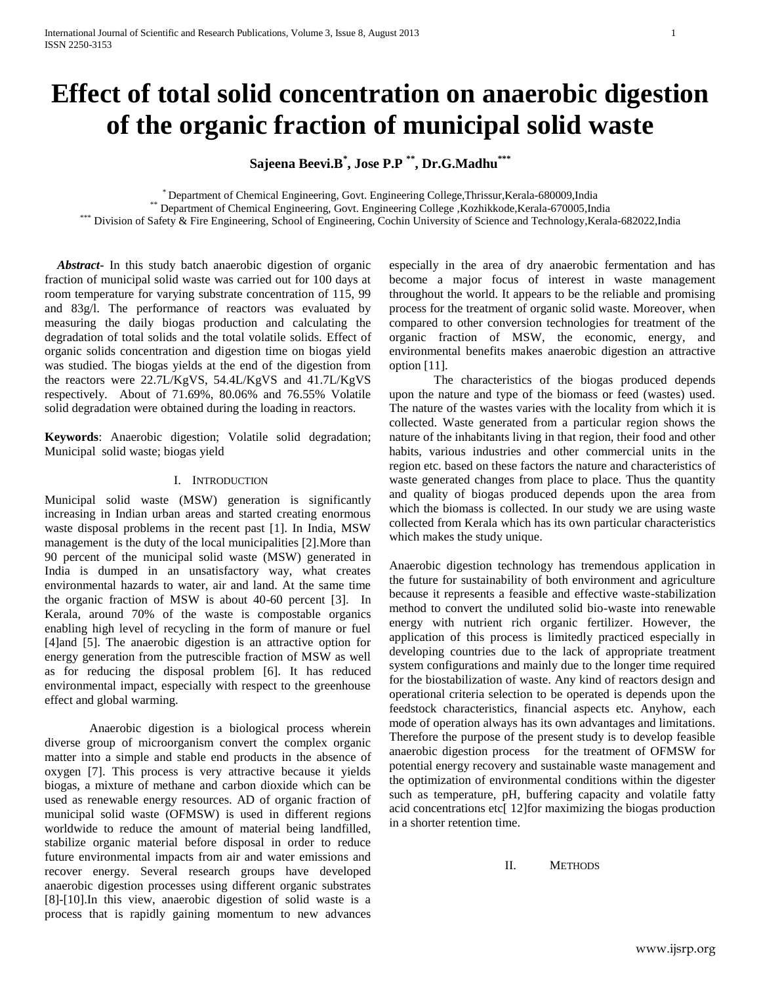# **Effect of total solid concentration on anaerobic digestion of the organic fraction of municipal solid waste**

**Sajeena Beevi.B\* , Jose P.P \*\* , Dr.G.Madhu\*\*\***

\* Department of Chemical Engineering, Govt. Engineering College,Thrissur,Kerala-680009,India

\*\* Department of Chemical Engineering, Govt. Engineering College ,Kozhikkode,Kerala-670005,India

Division of Safety & Fire Engineering, School of Engineering, Cochin University of Science and Technology,Kerala-682022,India

 *Abstract***-** In this study batch anaerobic digestion of organic fraction of municipal solid waste was carried out for 100 days at room temperature for varying substrate concentration of 115, 99 and 83g/l. The performance of reactors was evaluated by measuring the daily biogas production and calculating the degradation of total solids and the total volatile solids. Effect of organic solids concentration and digestion time on biogas yield was studied. The biogas yields at the end of the digestion from the reactors were 22.7L/KgVS, 54.4L/KgVS and 41.7L/KgVS respectively. About of 71.69%, 80.06% and 76.55% Volatile solid degradation were obtained during the loading in reactors.

**Keywords**: Anaerobic digestion; Volatile solid degradation; Municipal solid waste; biogas yield

## I. INTRODUCTION

Municipal solid waste (MSW) generation is significantly increasing in Indian urban areas and started creating enormous waste disposal problems in the recent past [1]. In India, MSW management is the duty of the local municipalities [2].More than 90 percent of the municipal solid waste (MSW) generated in India is dumped in an unsatisfactory way, what creates environmental hazards to water, air and land. At the same time the organic fraction of MSW is about 40-60 percent [3]. In Kerala, around 70% of the waste is compostable organics enabling high level of recycling in the form of manure or fuel [4]and [5]. The anaerobic digestion is an attractive option for energy generation from the putrescible fraction of MSW as well as for reducing the disposal problem [6]. It has reduced environmental impact, especially with respect to the greenhouse effect and global warming.

Anaerobic digestion is a biological process wherein diverse group of microorganism convert the complex organic matter into a simple and stable end products in the absence of oxygen [7]. This process is very attractive because it yields biogas, a mixture of methane and carbon dioxide which can be used as renewable energy resources. AD of organic fraction of municipal solid waste (OFMSW) is used in different regions worldwide to reduce the amount of material being landfilled, stabilize organic material before disposal in order to reduce future environmental impacts from air and water emissions and recover energy. Several research groups have developed anaerobic digestion processes using different organic substrates [8]-[10].In this view, anaerobic digestion of solid waste is a process that is rapidly gaining momentum to new advances especially in the area of dry anaerobic fermentation and has become a major focus of interest in waste management throughout the world. It appears to be the reliable and promising process for the treatment of organic solid waste. Moreover, when compared to other conversion technologies for treatment of the organic fraction of MSW, the economic, energy, and environmental benefits makes anaerobic digestion an attractive option [11].

The characteristics of the biogas produced depends upon the nature and type of the biomass or feed (wastes) used. The nature of the wastes varies with the locality from which it is collected. Waste generated from a particular region shows the nature of the inhabitants living in that region, their food and other habits, various industries and other commercial units in the region etc. based on these factors the nature and characteristics of waste generated changes from place to place. Thus the quantity and quality of biogas produced depends upon the area from which the biomass is collected. In our study we are using waste collected from Kerala which has its own particular characteristics which makes the study unique.

Anaerobic digestion technology has tremendous application in the future for sustainability of both environment and agriculture because it represents a feasible and effective waste-stabilization method to convert the undiluted solid bio-waste into renewable energy with nutrient rich organic fertilizer. However, the application of this process is limitedly practiced especially in developing countries due to the lack of appropriate treatment system configurations and mainly due to the longer time required for the biostabilization of waste. Any kind of reactors design and operational criteria selection to be operated is depends upon the feedstock characteristics, financial aspects etc. Anyhow, each mode of operation always has its own advantages and limitations. Therefore the purpose of the present study is to develop feasible anaerobic digestion process for the treatment of OFMSW for potential energy recovery and sustainable waste management and the optimization of environmental conditions within the digester such as temperature, pH, buffering capacity and volatile fatty acid concentrations etc[ 12]for maximizing the biogas production in a shorter retention time.

II. METHODS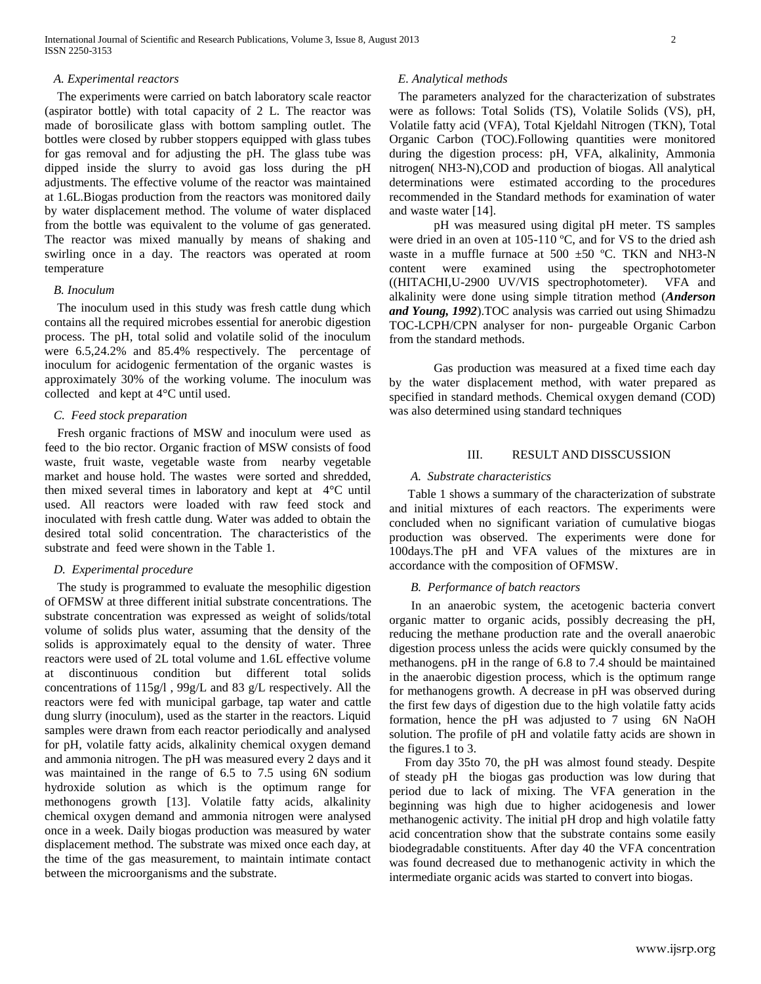## *A. Experimental reactors*

 The experiments were carried on batch laboratory scale reactor (aspirator bottle) with total capacity of 2 L. The reactor was made of borosilicate glass with bottom sampling outlet. The bottles were closed by rubber stoppers equipped with glass tubes for gas removal and for adjusting the pH. The glass tube was dipped inside the slurry to avoid gas loss during the pH adjustments. The effective volume of the reactor was maintained at 1.6L.Biogas production from the reactors was monitored daily by water displacement method. The volume of water displaced from the bottle was equivalent to the volume of gas generated. The reactor was mixed manually by means of shaking and swirling once in a day. The reactors was operated at room temperature

## *B. Inoculum*

 The inoculum used in this study was fresh cattle dung which contains all the required microbes essential for anerobic digestion process. The pH, total solid and volatile solid of the inoculum were 6.5,24.2% and 85.4% respectively. The percentage of inoculum for acidogenic fermentation of the organic wastes is approximately 30% of the working volume. The inoculum was collected and kept at 4°C until used.

# *C. Feed stock preparation*

 Fresh organic fractions of MSW and inoculum were used as feed to the bio rector. Organic fraction of MSW consists of food waste, fruit waste, vegetable waste from nearby vegetable market and house hold. The wastes were sorted and shredded, then mixed several times in laboratory and kept at 4°C until used. All reactors were loaded with raw feed stock and inoculated with fresh cattle dung. Water was added to obtain the desired total solid concentration. The characteristics of the substrate and feed were shown in the Table 1.

# *D. Experimental procedure*

 The study is programmed to evaluate the mesophilic digestion of OFMSW at three different initial substrate concentrations. The substrate concentration was expressed as weight of solids/total volume of solids plus water, assuming that the density of the solids is approximately equal to the density of water. Three reactors were used of 2L total volume and 1.6L effective volume at discontinuous condition but different total solids concentrations of 115g/l , 99g/L and 83 g/L respectively. All the reactors were fed with municipal garbage, tap water and cattle dung slurry (inoculum), used as the starter in the reactors. Liquid samples were drawn from each reactor periodically and analysed for pH, volatile fatty acids, alkalinity chemical oxygen demand and ammonia nitrogen. The pH was measured every 2 days and it was maintained in the range of 6.5 to 7.5 using 6N sodium hydroxide solution as which is the optimum range for methonogens growth [13]. Volatile fatty acids, alkalinity chemical oxygen demand and ammonia nitrogen were analysed once in a week. Daily biogas production was measured by water displacement method. The substrate was mixed once each day, at the time of the gas measurement, to maintain intimate contact between the microorganisms and the substrate.

# *E. Analytical methods*

 The parameters analyzed for the characterization of substrates were as follows: Total Solids (TS), Volatile Solids (VS), pH, Volatile fatty acid (VFA), Total Kjeldahl Nitrogen (TKN), Total Organic Carbon (TOC).Following quantities were monitored during the digestion process: pH, VFA, alkalinity, Ammonia nitrogen( NH3-N),COD and production of biogas. All analytical determinations were estimated according to the procedures recommended in the Standard methods for examination of water and waste water [14].

pH was measured using digital pH meter. TS samples were dried in an oven at 105-110 ºC, and for VS to the dried ash waste in a muffle furnace at  $500 \pm 50$  °C. TKN and NH3-N content were examined using the spectrophotometer ((HITACHI,U-2900 UV/VIS spectrophotometer). VFA and alkalinity were done using simple titration method (*Anderson and Young, 1992*).TOC analysis was carried out using Shimadzu TOC-LCPH/CPN analyser for non- purgeable Organic Carbon from the standard methods.

Gas production was measured at a fixed time each day by the water displacement method, with water prepared as specified in standard methods. Chemical oxygen demand (COD) was also determined using standard techniques

# III. RESULT AND DISSCUSSION

## *A. Substrate characteristics*

 Table 1 shows a summary of the characterization of substrate and initial mixtures of each reactors. The experiments were concluded when no significant variation of cumulative biogas production was observed. The experiments were done for 100days.The pH and VFA values of the mixtures are in accordance with the composition of OFMSW.

# *B. Performance of batch reactors*

 In an anaerobic system, the acetogenic bacteria convert organic matter to organic acids, possibly decreasing the pH, reducing the methane production rate and the overall anaerobic digestion process unless the acids were quickly consumed by the methanogens. pH in the range of 6.8 to 7.4 should be maintained in the anaerobic digestion process, which is the optimum range for methanogens growth. A decrease in pH was observed during the first few days of digestion due to the high volatile fatty acids formation, hence the pH was adjusted to 7 using 6N NaOH solution. The profile of pH and volatile fatty acids are shown in the figures.1 to 3.

 From day 35to 70, the pH was almost found steady. Despite of steady pH the biogas gas production was low during that period due to lack of mixing. The VFA generation in the beginning was high due to higher acidogenesis and lower methanogenic activity. The initial pH drop and high volatile fatty acid concentration show that the substrate contains some easily biodegradable constituents. After day 40 the VFA concentration was found decreased due to methanogenic activity in which the intermediate organic acids was started to convert into biogas.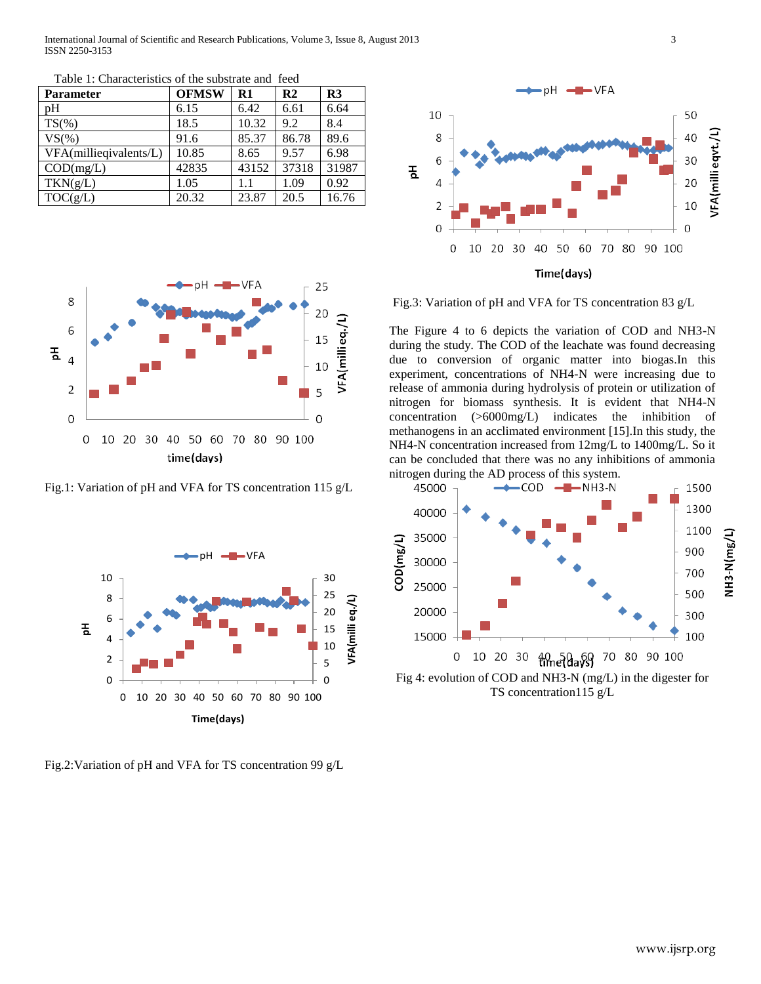International Journal of Scientific and Research Publications, Volume 3, Issue 8, August 2013 3 ISSN 2250-3153

| <b>Parameter</b>       | <b>OFMSW</b> | $\mathbf{R}1$ | R <sub>2</sub> | R <sub>3</sub> |
|------------------------|--------------|---------------|----------------|----------------|
| pΗ                     | 6.15         | 6.42          | 6.61           | 6.64           |
| $TS(\% )$              | 18.5         | 10.32         | 9.2            | 8.4            |
| VS(%                   | 91.6         | 85.37         | 86.78          | 89.6           |
| VFA(millieqivalents/L) | 10.85        | 8.65          | 9.57           | 6.98           |
| COD(mg/L)              | 42835        | 43152         | 37318          | 31987          |
| TKN(g/L)               | 1.05         | 1.1           | 1.09           | 0.92           |
| TOC(g/L)               | 20.32        | 23.87         | 20.5           | 16.76          |

Table 1: Characteristics of the substrate and feed



Fig.1: Variation of pH and VFA for TS concentration 115 g/L



Fig.2:Variation of pH and VFA for TS concentration 99 g/L



Fig.3: Variation of pH and VFA for TS concentration 83 g/L

The Figure 4 to 6 depicts the variation of COD and NH3-N during the study. The COD of the leachate was found decreasing due to conversion of organic matter into biogas.In this experiment, concentrations of NH4-N were increasing due to release of ammonia during hydrolysis of protein or utilization of nitrogen for biomass synthesis. It is evident that NH4-N concentration (>6000mg/L) indicates the inhibition of methanogens in an acclimated environment [15].In this study, the NH4-N concentration increased from 12mg/L to 1400mg/L. So it can be concluded that there was no any inhibitions of ammonia nitrogen during the AD process of this system.



TS concentration115 g/L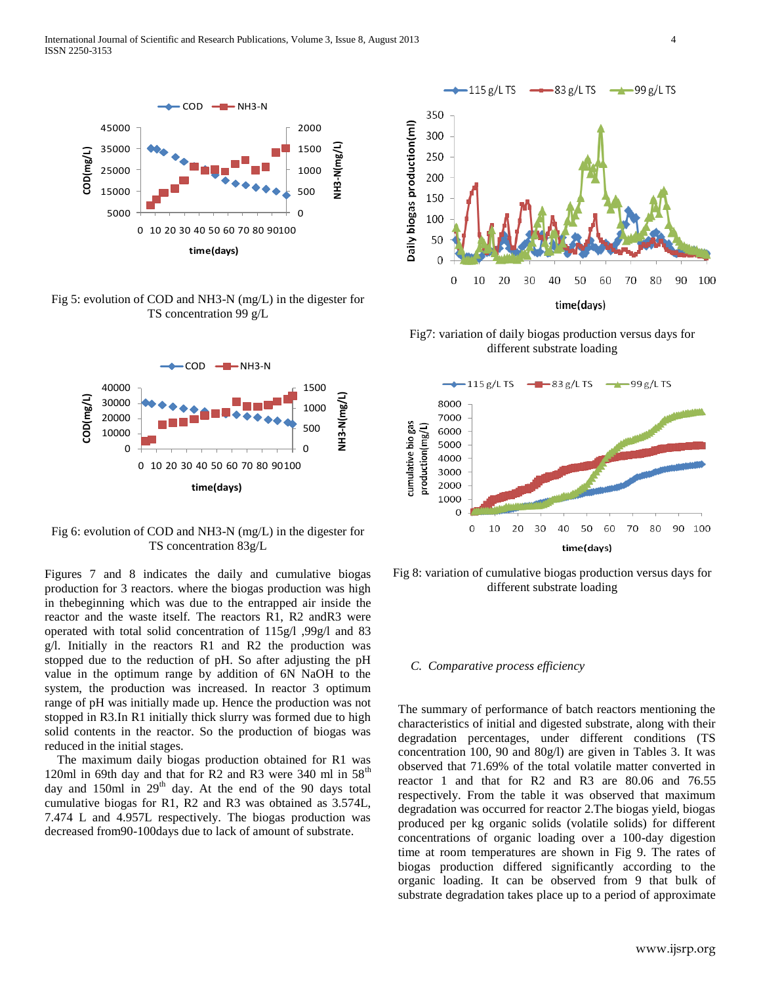

Fig 5: evolution of COD and NH3-N (mg/L) in the digester for TS concentration 99 g/L



Fig 6: evolution of COD and NH3-N (mg/L) in the digester for TS concentration 83g/L

Figures 7 and 8 indicates the daily and cumulative biogas production for 3 reactors. where the biogas production was high in thebeginning which was due to the entrapped air inside the reactor and the waste itself. The reactors R1, R2 andR3 were operated with total solid concentration of 115g/l ,99g/l and 83 g/l. Initially in the reactors R1 and R2 the production was stopped due to the reduction of pH. So after adjusting the pH value in the optimum range by addition of 6N NaOH to the system, the production was increased. In reactor 3 optimum range of pH was initially made up. Hence the production was not stopped in R3.In R1 initially thick slurry was formed due to high solid contents in the reactor. So the production of biogas was reduced in the initial stages.

 The maximum daily biogas production obtained for R1 was 120ml in 69th day and that for R2 and R3 were 340 ml in  $58<sup>th</sup>$ day and 150ml in  $29<sup>th</sup>$  day. At the end of the 90 days total cumulative biogas for R1, R2 and R3 was obtained as 3.574L, 7.474 L and 4.957L respectively. The biogas production was decreased from90-100days due to lack of amount of substrate.



Fig7: variation of daily biogas production versus days for different substrate loading



Fig 8: variation of cumulative biogas production versus days for different substrate loading

#### *C. Comparative process efficiency*

The summary of performance of batch reactors mentioning the characteristics of initial and digested substrate, along with their degradation percentages, under different conditions (TS concentration 100, 90 and 80g/l) are given in Tables 3. It was observed that 71.69% of the total volatile matter converted in reactor 1 and that for R2 and R3 are 80.06 and 76.55 respectively. From the table it was observed that maximum degradation was occurred for reactor 2.The biogas yield, biogas produced per kg organic solids (volatile solids) for different concentrations of organic loading over a 100-day digestion time at room temperatures are shown in Fig 9. The rates of biogas production differed significantly according to the organic loading. It can be observed from 9 that bulk of substrate degradation takes place up to a period of approximate